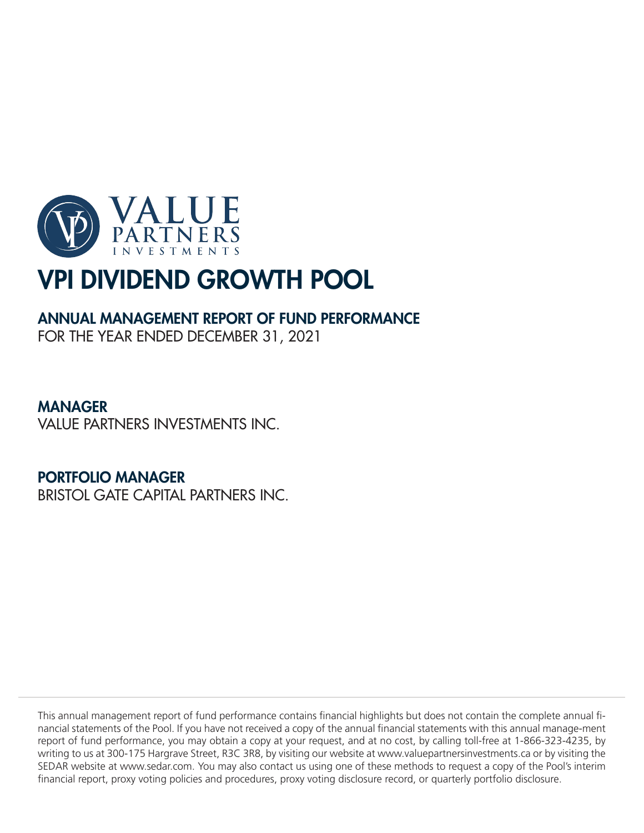

# ANNUAL MANAGEMENT REPORT OF FUND PERFORMANCE

FOR THE YEAR ENDED DECEMBER 31, 2021

# MANAGER

VALUE PARTNERS INVESTMENTS INC.

# PORTFOLIO MANAGER

BRISTOL GATE CAPITAL PARTNERS INC.

This annual management report of fund performance contains financial highlights but does not contain the complete annual financial statements of the Pool. If you have not received a copy of the annual financial statements with this annual manage-ment report of fund performance, you may obtain a copy at your request, and at no cost, by calling toll-free at 1-866-323-4235, by writing to us at 300-175 Hargrave Street, R3C 3R8, by visiting our website at www.valuepartnersinvestments.ca or by visiting the SEDAR website at www.sedar.com. You may also contact us using one of these methods to request a copy of the Pool's interim financial report, proxy voting policies and procedures, proxy voting disclosure record, or quarterly portfolio disclosure.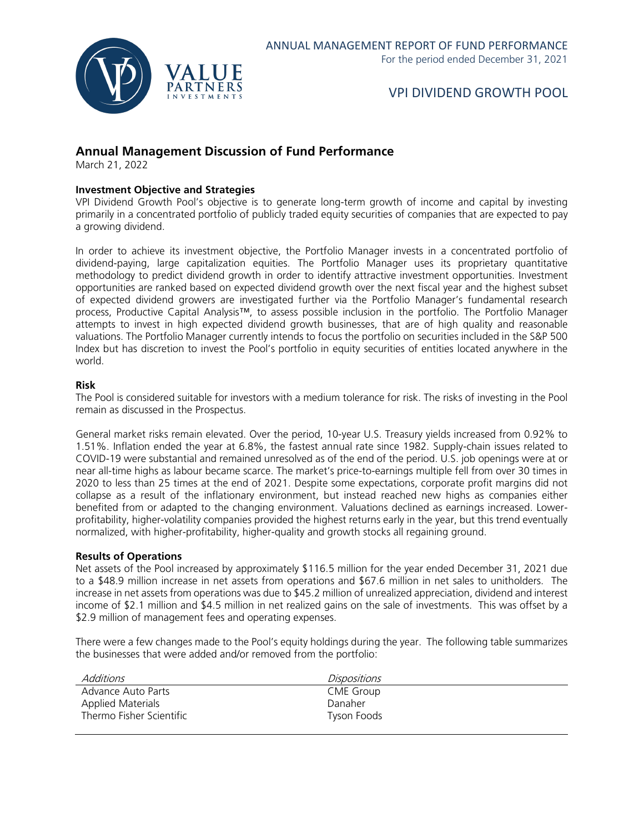

### **Annual Management Discussion of Fund Performance**

March 21, 2022

### **Investment Objective and Strategies**

VPI Dividend Growth Pool's objective is to generate long-term growth of income and capital by investing primarily in a concentrated portfolio of publicly traded equity securities of companies that are expected to pay a growing dividend.

In order to achieve its investment objective, the Portfolio Manager invests in a concentrated portfolio of dividend-paying, large capitalization equities. The Portfolio Manager uses its proprietary quantitative methodology to predict dividend growth in order to identify attractive investment opportunities. Investment opportunities are ranked based on expected dividend growth over the next fiscal year and the highest subset of expected dividend growers are investigated further via the Portfolio Manager's fundamental research process, Productive Capital Analysis™, to assess possible inclusion in the portfolio. The Portfolio Manager attempts to invest in high expected dividend growth businesses, that are of high quality and reasonable valuations. The Portfolio Manager currently intends to focus the portfolio on securities included in the S&P 500 Index but has discretion to invest the Pool's portfolio in equity securities of entities located anywhere in the world.

#### **Risk**

The Pool is considered suitable for investors with a medium tolerance for risk. The risks of investing in the Pool remain as discussed in the Prospectus.

General market risks remain elevated. Over the period, 10-year U.S. Treasury yields increased from 0.92% to 1.51%. Inflation ended the year at 6.8%, the fastest annual rate since 1982. Supply-chain issues related to COVID-19 were substantial and remained unresolved as of the end of the period. U.S. job openings were at or near all-time highs as labour became scarce. The market's price-to-earnings multiple fell from over 30 times in 2020 to less than 25 times at the end of 2021. Despite some expectations, corporate profit margins did not collapse as a result of the inflationary environment, but instead reached new highs as companies either benefited from or adapted to the changing environment. Valuations declined as earnings increased. Lowerprofitability, higher-volatility companies provided the highest returns early in the year, but this trend eventually normalized, with higher-profitability, higher-quality and growth stocks all regaining ground.

#### **Results of Operations**

Net assets of the Pool increased by approximately \$116.5 million for the year ended December 31, 2021 due to a \$48.9 million increase in net assets from operations and \$67.6 million in net sales to unitholders. The increase in net assets from operations was due to \$45.2 million of unrealized appreciation, dividend and interest income of \$2.1 million and \$4.5 million in net realized gains on the sale of investments. This was offset by a \$2.9 million of management fees and operating expenses.

There were a few changes made to the Pool's equity holdings during the year. The following table summarizes the businesses that were added and/or removed from the portfolio:

| Additions                | Dispositions |  |
|--------------------------|--------------|--|
| Advance Auto Parts       | CME Group    |  |
| Applied Materials        | Danaher      |  |
| Thermo Fisher Scientific | Tyson Foods  |  |
|                          |              |  |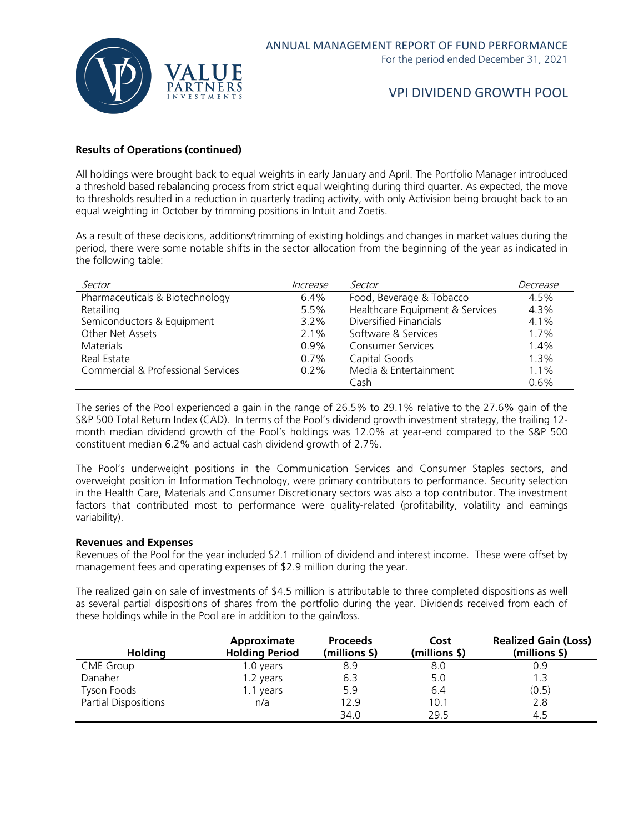

### **Results of Operations (continued)**

All holdings were brought back to equal weights in early January and April. The Portfolio Manager introduced a threshold based rebalancing process from strict equal weighting during third quarter. As expected, the move to thresholds resulted in a reduction in quarterly trading activity, with only Activision being brought back to an equal weighting in October by trimming positions in Intuit and Zoetis.

As a result of these decisions, additions/trimming of existing holdings and changes in market values during the period, there were some notable shifts in the sector allocation from the beginning of the year as indicated in the following table:

| Sector                             | Increase | Sector                          | Decrease |
|------------------------------------|----------|---------------------------------|----------|
| Pharmaceuticals & Biotechnology    | $6.4\%$  | Food, Beverage & Tobacco        | 4.5%     |
| Retailing                          | 5.5%     | Healthcare Equipment & Services | 4.3%     |
| Semiconductors & Equipment         | $3.2\%$  | Diversified Financials          | $4.1\%$  |
| Other Net Assets                   | $2.1\%$  | Software & Services             | 1.7%     |
| Materials                          | $0.9\%$  | <b>Consumer Services</b>        | 1.4%     |
| Real Estate                        | 0.7%     | Capital Goods                   | 1.3%     |
| Commercial & Professional Services | $0.2\%$  | Media & Entertainment           | $1.1\%$  |
|                                    |          | Cash                            | 0.6%     |

The series of the Pool experienced a gain in the range of 26.5% to 29.1% relative to the 27.6% gain of the S&P 500 Total Return Index (CAD). In terms of the Pool's dividend growth investment strategy, the trailing 12 month median dividend growth of the Pool's holdings was 12.0% at year-end compared to the S&P 500 constituent median 6.2% and actual cash dividend growth of 2.7%.

The Pool's underweight positions in the Communication Services and Consumer Staples sectors, and overweight position in Information Technology, were primary contributors to performance. Security selection in the Health Care, Materials and Consumer Discretionary sectors was also a top contributor. The investment factors that contributed most to performance were quality-related (profitability, volatility and earnings variability).

#### **Revenues and Expenses**

Revenues of the Pool for the year included \$2.1 million of dividend and interest income. These were offset by management fees and operating expenses of \$2.9 million during the year.

The realized gain on sale of investments of \$4.5 million is attributable to three completed dispositions as well as several partial dispositions of shares from the portfolio during the year. Dividends received from each of these holdings while in the Pool are in addition to the gain/loss.

| Holding                     | Approximate<br><b>Holding Period</b> | <b>Proceeds</b><br>(millions \$) | Cost<br>(millions \$) | <b>Realized Gain (Loss)</b><br>(millions \$) |
|-----------------------------|--------------------------------------|----------------------------------|-----------------------|----------------------------------------------|
| <b>CME Group</b>            | 1.0 years                            | 8.9                              | 8.0                   | 0.9                                          |
| Danaher                     | 1.2 years                            | 6.3                              | 5.0                   | 1.3                                          |
| Tyson Foods                 | 1.1 years                            | 5.9                              | 6.4                   | (0.5)                                        |
| <b>Partial Dispositions</b> | n/a                                  | 12.9                             | 10.1                  | 2.8                                          |
|                             |                                      | 34.0                             | 29.5                  | 4.5                                          |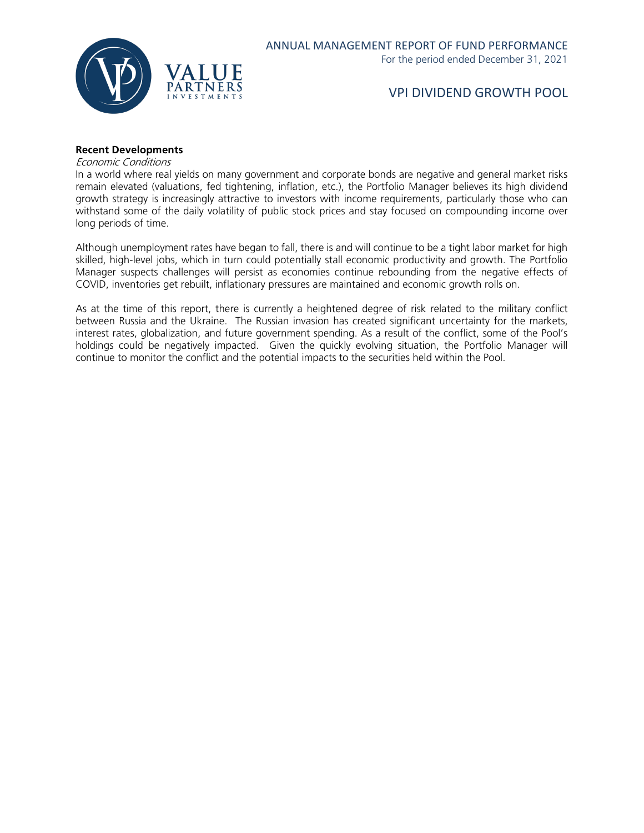

### **Recent Developments**

Economic Conditions

In a world where real yields on many government and corporate bonds are negative and general market risks remain elevated (valuations, fed tightening, inflation, etc.), the Portfolio Manager believes its high dividend growth strategy is increasingly attractive to investors with income requirements, particularly those who can withstand some of the daily volatility of public stock prices and stay focused on compounding income over long periods of time.

Although unemployment rates have began to fall, there is and will continue to be a tight labor market for high skilled, high-level jobs, which in turn could potentially stall economic productivity and growth. The Portfolio Manager suspects challenges will persist as economies continue rebounding from the negative effects of COVID, inventories get rebuilt, inflationary pressures are maintained and economic growth rolls on.

As at the time of this report, there is currently a heightened degree of risk related to the military conflict between Russia and the Ukraine. The Russian invasion has created significant uncertainty for the markets, interest rates, globalization, and future government spending. As a result of the conflict, some of the Pool's holdings could be negatively impacted. Given the quickly evolving situation, the Portfolio Manager will continue to monitor the conflict and the potential impacts to the securities held within the Pool.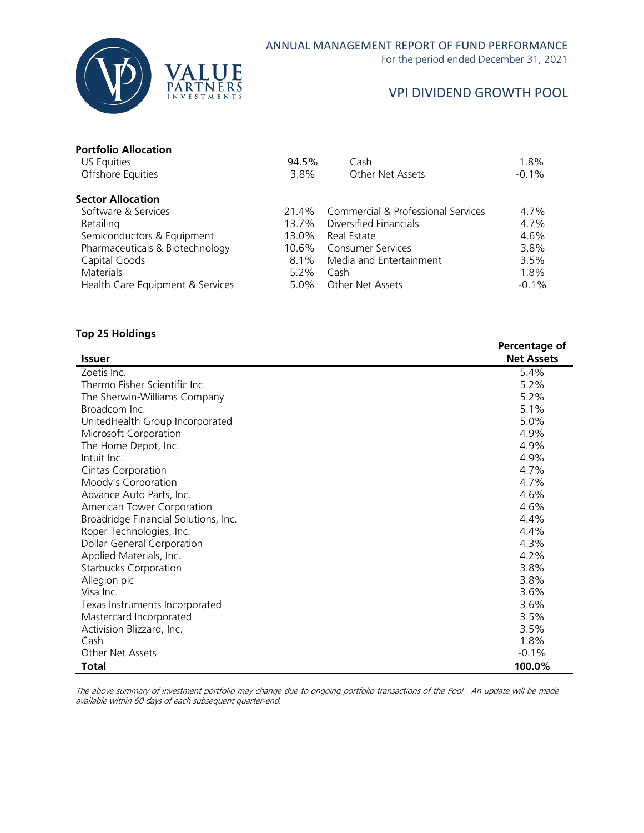

For the period ended December 31, 2021

## VPI DIVIDEND GROWTH POOL

| 94.5%   | Cash                               | 1.8%              |
|---------|------------------------------------|-------------------|
| 3.8%    | Other Net Assets                   | $-0.1%$           |
|         |                                    |                   |
| 21.4%   | Commercial & Professional Services | 4.7%              |
| 13.7%   | Diversified Financials             | 4.7%              |
| 13.0%   | Real Estate                        | 4.6%              |
| 10.6%   |                                    | 3.8%              |
| $8.1\%$ | Media and Entertainment            | 3.5%              |
| $5.2\%$ | Cash                               | 1.8%              |
| $5.0\%$ | Other Net Assets                   | $-0.1%$           |
|         |                                    | Consumer Services |

### **Top 25 Holdings**

|                                      | Percentage of     |
|--------------------------------------|-------------------|
| <b>Issuer</b>                        | <b>Net Assets</b> |
| Zoetis Inc.                          | 5.4%              |
| Thermo Fisher Scientific Inc.        | 5.2%              |
| The Sherwin-Williams Company         | 5.2%              |
| Broadcom Inc.                        | 5.1%              |
| UnitedHealth Group Incorporated      | 5.0%              |
| Microsoft Corporation                | 4.9%              |
| The Home Depot, Inc.                 | 4.9%              |
| Intuit Inc.                          | 4.9%              |
| Cintas Corporation                   | 4.7%              |
| Moody's Corporation                  | 4.7%              |
| Advance Auto Parts, Inc.             | 4.6%              |
| American Tower Corporation           | 4.6%              |
| Broadridge Financial Solutions, Inc. | 4.4%              |
| Roper Technologies, Inc.             | 4.4%              |
| <b>Dollar General Corporation</b>    | 4.3%              |
| Applied Materials, Inc.              | 4.2%              |
| <b>Starbucks Corporation</b>         | 3.8%              |
| Allegion plc                         | 3.8%              |
| Visa Inc.                            | 3.6%              |
| Texas Instruments Incorporated       | 3.6%              |
| Mastercard Incorporated              | 3.5%              |
| Activision Blizzard, Inc.            | 3.5%              |
| Cash                                 | 1.8%              |
| Other Net Assets                     | $-0.1%$           |
| Total                                | 100.0%            |

The above summary of investment portfolio may change due to ongoing portfolio transactions of the Pool. An update will be made available within 60 days of each subsequent quarter-end.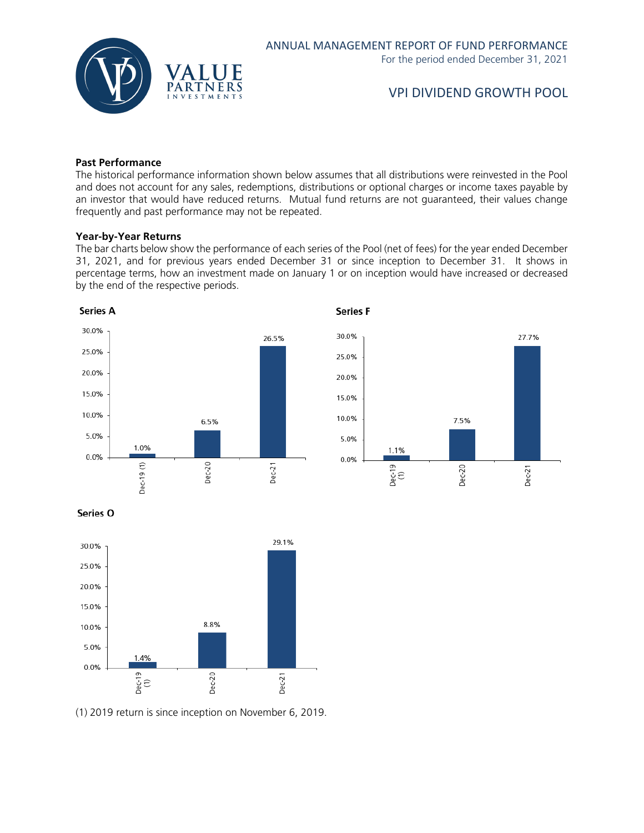

### **Past Performance**

The historical performance information shown below assumes that all distributions were reinvested in the Pool and does not account for any sales, redemptions, distributions or optional charges or income taxes payable by an investor that would have reduced returns. Mutual fund returns are not guaranteed, their values change frequently and past performance may not be repeated.

#### **Year-by-Year Returns**

The bar charts below show the performance of each series of the Pool (net of fees) for the year ended December 31, 2021, and for previous years ended December 31 or since inception to December 31. It shows in percentage terms, how an investment made on January 1 or on inception would have increased or decreased by the end of the respective periods.



Series O



(1) 2019 return is since inception on November 6, 2019.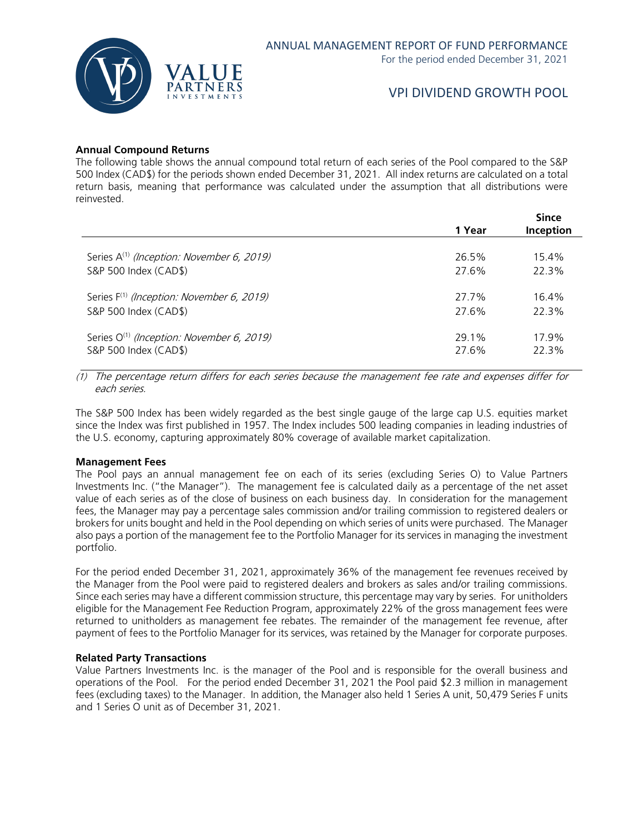

### **Annual Compound Returns**

The following table shows the annual compound total return of each series of the Pool compared to the S&P 500 Index (CAD\$) for the periods shown ended December 31, 2021. All index returns are calculated on a total return basis, meaning that performance was calculated under the assumption that all distributions were reinvested.

|                                                                | 1 Year | <b>Since</b><br>Inception |
|----------------------------------------------------------------|--------|---------------------------|
| Series A <sup>(1)</sup> ( <i>Inception: November 6, 2019</i> ) | 26.5%  | 15.4%                     |
| S&P 500 Index (CAD\$)                                          | 27.6%  | 22.3%                     |
| Series $F^{(1)}$ (Inception: November 6, 2019)                 | 27.7%  | 16.4%                     |
| S&P 500 Index (CAD\$)                                          | 27.6%  | 22.3%                     |
| Series $O^{(1)}$ (Inception: November 6, 2019)                 | 29.1%  | 17.9%                     |
| S&P 500 Index (CAD\$)                                          | 27.6%  | 22.3%                     |

(1) The percentage return differs for each series because the management fee rate and expenses differ for each series.

The S&P 500 Index has been widely regarded as the best single gauge of the large cap U.S. equities market since the Index was first published in 1957. The Index includes 500 leading companies in leading industries of the U.S. economy, capturing approximately 80% coverage of available market capitalization.

#### **Management Fees**

The Pool pays an annual management fee on each of its series (excluding Series O) to Value Partners Investments Inc. ("the Manager"). The management fee is calculated daily as a percentage of the net asset value of each series as of the close of business on each business day. In consideration for the management fees, the Manager may pay a percentage sales commission and/or trailing commission to registered dealers or brokers for units bought and held in the Pool depending on which series of units were purchased. The Manager also pays a portion of the management fee to the Portfolio Manager for its services in managing the investment portfolio.

For the period ended December 31, 2021, approximately 36% of the management fee revenues received by the Manager from the Pool were paid to registered dealers and brokers as sales and/or trailing commissions. Since each series may have a different commission structure, this percentage may vary by series. For unitholders eligible for the Management Fee Reduction Program, approximately 22% of the gross management fees were returned to unitholders as management fee rebates. The remainder of the management fee revenue, after payment of fees to the Portfolio Manager for its services, was retained by the Manager for corporate purposes.

#### **Related Party Transactions**

Value Partners Investments Inc. is the manager of the Pool and is responsible for the overall business and operations of the Pool. For the period ended December 31, 2021 the Pool paid \$2.3 million in management fees (excluding taxes) to the Manager. In addition, the Manager also held 1 Series A unit, 50,479 Series F units and 1 Series O unit as of December 31, 2021.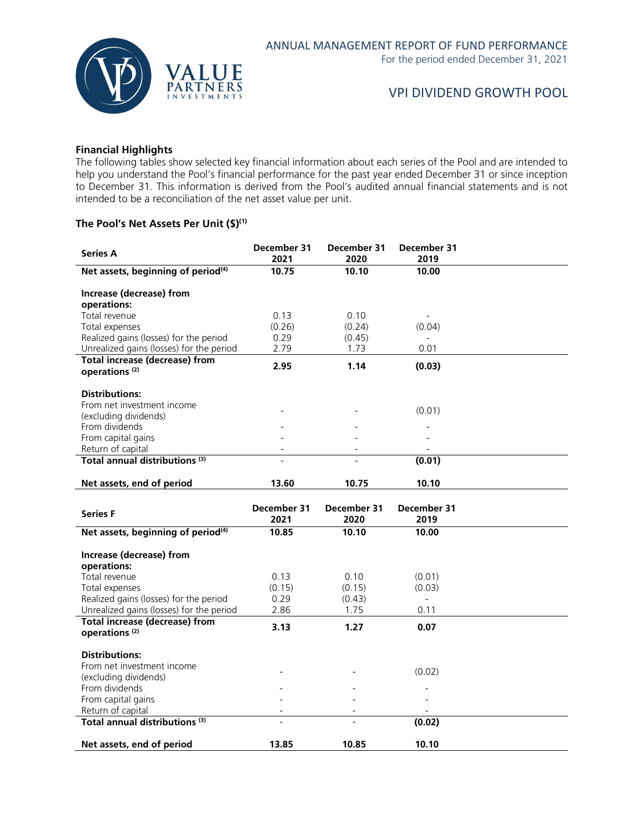

### **Financial Highlights**

The following tables show selected key financial information about each series of the Pool and are intended to help you understand the Pool's financial performance for the past year ended December 31 or since inception to December 31. This information is derived from the Pool's audited annual financial statements and is not intended to be a reconciliation of the net asset value per unit.

### **The Pool's Net Assets Per Unit (\$)(1)**

| <b>Series A</b>                                | December 31                                | December 31              | December 31                        |  |
|------------------------------------------------|--------------------------------------------|--------------------------|------------------------------------|--|
|                                                | 2021                                       | 2020                     | 2019                               |  |
| Net assets, beginning of period <sup>(4)</sup> | 10.75                                      | 10.10                    | 10.00                              |  |
|                                                |                                            |                          |                                    |  |
| Increase (decrease) from                       |                                            |                          |                                    |  |
| operations:                                    |                                            |                          |                                    |  |
| Total revenue                                  | 0.13                                       | 0.10                     |                                    |  |
| Total expenses                                 | (0.26)                                     | (0.24)                   | (0.04)                             |  |
| Realized gains (losses) for the period         | 0.29                                       | (0.45)                   |                                    |  |
| Unrealized gains (losses) for the period       | 2.79                                       | 1.73                     | 0.01                               |  |
| <b>Total increase (decrease) from</b>          | 2.95                                       | 1.14                     | (0.03)                             |  |
| operations <sup>(2)</sup>                      |                                            |                          |                                    |  |
|                                                |                                            |                          |                                    |  |
| <b>Distributions:</b>                          |                                            |                          |                                    |  |
| From net investment income                     |                                            |                          | (0.01)                             |  |
| (excluding dividends)                          |                                            |                          |                                    |  |
| From dividends                                 |                                            |                          |                                    |  |
| From capital gains                             |                                            |                          |                                    |  |
| Return of capital                              |                                            |                          |                                    |  |
| Total annual distributions <sup>(3)</sup>      |                                            |                          | (0.01)                             |  |
|                                                |                                            |                          |                                    |  |
| Net assets, end of period                      | 13.60                                      | 10.75                    | 10.10                              |  |
|                                                |                                            |                          |                                    |  |
|                                                |                                            |                          |                                    |  |
|                                                | December 31                                | December 31              | December 31                        |  |
| <b>Series F</b>                                | 2021                                       | 2020                     | 2019                               |  |
|                                                | 10.85                                      |                          | 10.00                              |  |
| Net assets, beginning of period <sup>(4)</sup> |                                            | 10.10                    |                                    |  |
|                                                |                                            |                          |                                    |  |
| Increase (decrease) from                       |                                            |                          |                                    |  |
| operations:                                    |                                            | 0.10                     |                                    |  |
| Total revenue                                  | 0.13                                       |                          | (0.01)                             |  |
| Total expenses                                 | (0.15)                                     | (0.15)                   | (0.03)<br>$\overline{\phantom{a}}$ |  |
| Realized gains (losses) for the period         | 0.29                                       | (0.43)                   |                                    |  |
| Unrealized gains (losses) for the period       | 2.86                                       | 1.75                     | 0.11                               |  |
| <b>Total increase (decrease) from</b>          | 3.13                                       | 1.27                     | 0.07                               |  |
| operations <sup>(2)</sup>                      |                                            |                          |                                    |  |
|                                                |                                            |                          |                                    |  |
| <b>Distributions:</b>                          |                                            |                          |                                    |  |
| From net investment income                     |                                            |                          | (0.02)                             |  |
| (excluding dividends)                          |                                            |                          |                                    |  |
| From dividends                                 |                                            |                          |                                    |  |
| From capital gains                             |                                            |                          |                                    |  |
| Return of capital                              | $\overline{\phantom{a}}$<br>$\overline{a}$ | $\overline{\phantom{a}}$ | $\overline{\phantom{a}}$           |  |
| Total annual distributions <sup>(3)</sup>      |                                            | $\overline{\phantom{0}}$ | (0.02)                             |  |
| Net assets, end of period                      | 13.85                                      | 10.85                    | 10.10                              |  |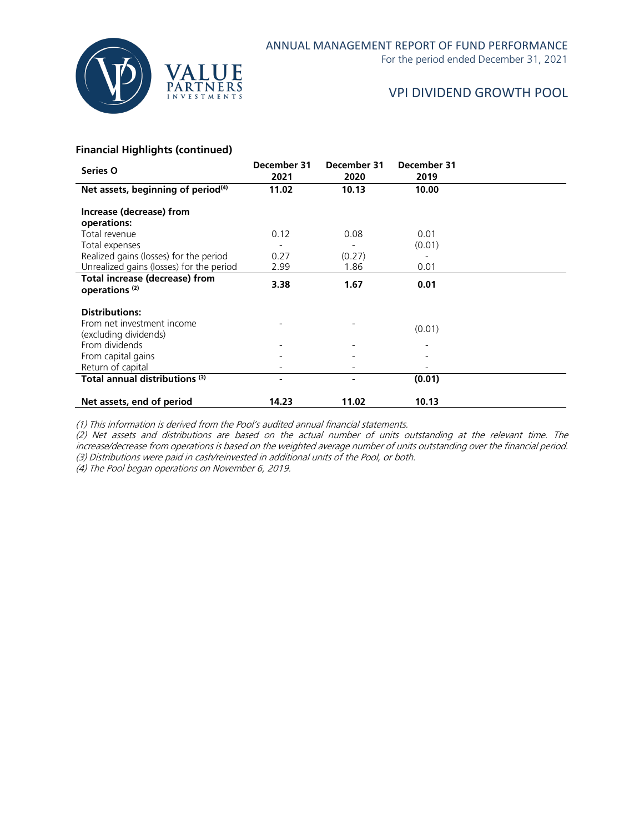

For the period ended December 31, 2021

## VPI DIVIDEND GROWTH POOL

### **Financial Highlights (continued)**

| Series O                                                                     | December 31<br>2021 | December 31<br>2020 | December 31<br>2019 |  |
|------------------------------------------------------------------------------|---------------------|---------------------|---------------------|--|
| Net assets, beginning of period $(4)$                                        | 11.02               | 10.13               | 10.00               |  |
| Increase (decrease) from<br>operations:                                      |                     |                     |                     |  |
| Total revenue                                                                | 0.12                | 0.08                | 0.01                |  |
| Total expenses                                                               |                     |                     | (0.01)              |  |
| Realized gains (losses) for the period                                       | 0.27                | (0.27)              |                     |  |
| Unrealized gains (losses) for the period                                     | 2.99                | 1.86                | 0.01                |  |
| <b>Total increase (decrease) from</b><br>operations <sup>(2)</sup>           | 3.38                | 1.67                | 0.01                |  |
| <b>Distributions:</b><br>From net investment income<br>(excluding dividends) |                     |                     | (0.01)              |  |
| From dividends                                                               |                     |                     |                     |  |
| From capital gains                                                           |                     |                     |                     |  |
| Return of capital                                                            |                     |                     |                     |  |
| Total annual distributions <sup>(3)</sup>                                    |                     |                     | (0.01)              |  |
| Net assets, end of period                                                    | 14.23               | 11.02               | 10.13               |  |

(1) This information is derived from the Pool's audited annual financial statements.

(2) Net assets and distributions are based on the actual number of units outstanding at the relevant time. The increase/decrease from operations is based on the weighted average number of units outstanding over the financial period. (3) Distributions were paid in cash/reinvested in additional units of the Pool, or both.

(4) The Pool began operations on November 6, 2019.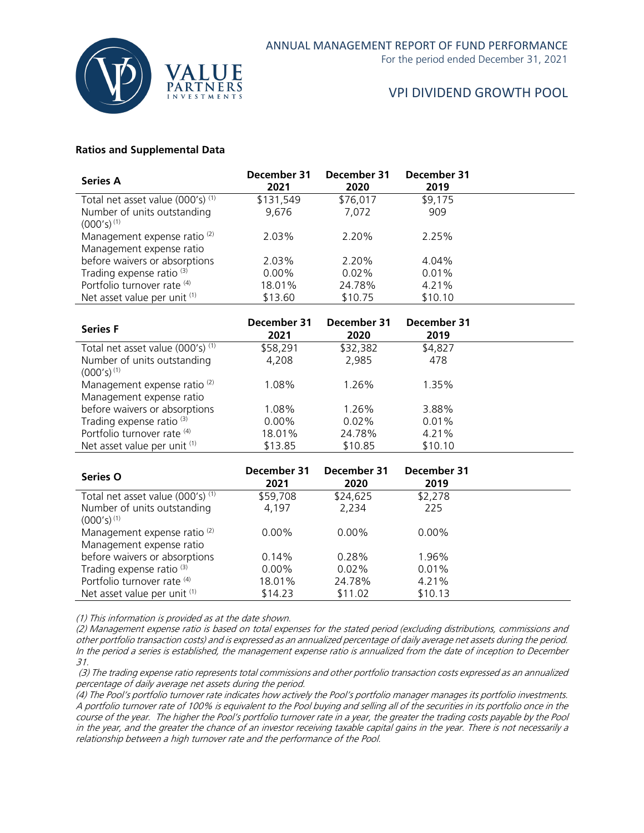

### **Ratios and Supplemental Data**

| <b>Series A</b>                                                     | December 31<br>2021 | December 31<br>2020 | December 31<br>2019 |  |
|---------------------------------------------------------------------|---------------------|---------------------|---------------------|--|
| Total net asset value (000's) (1)                                   | \$131,549           | \$76,017            | \$9,175             |  |
| Number of units outstanding<br>$(000's)^{(1)}$                      | 9,676               | 7,072               | 909                 |  |
| Management expense ratio <sup>(2)</sup><br>Management expense ratio | 2.03%               | 2.20%               | 2.25%               |  |
| before waivers or absorptions                                       | 2.03%               | 2.20%               | 4.04%               |  |
| Trading expense ratio <sup>(3)</sup>                                | $0.00\%$            | 0.02%               | 0.01%               |  |
| Portfolio turnover rate (4)                                         | 18.01%              | 24.78%              | 4.21%               |  |
| Net asset value per unit (1)                                        | \$13.60             | \$10.75             | \$10.10             |  |

| <b>Series F</b>                                                     | December 31<br>2021 | December 31<br>2020 | December 31<br>2019 |  |
|---------------------------------------------------------------------|---------------------|---------------------|---------------------|--|
| Total net asset value (000's) <sup>(1)</sup>                        | \$58,291            | \$32,382            | \$4,827             |  |
| Number of units outstanding<br>$(000's)^{(1)}$                      | 4,208               | 2,985               | 478                 |  |
| Management expense ratio <sup>(2)</sup><br>Management expense ratio | 1.08%               | 1.26%               | 1.35%               |  |
| before waivers or absorptions                                       | 1.08%               | 1.26%               | 3.88%               |  |
| Trading expense ratio <sup>(3)</sup>                                | $0.00\%$            | $0.02\%$            | 0.01%               |  |
| Portfolio turnover rate (4)                                         | 18.01%              | 24.78%              | 4.21%               |  |
| Net asset value per unit (1)                                        | \$13.85             | \$10.85             | \$10.10             |  |

| Series O                                                            | December 31<br>2021 | December 31<br>2020 | December 31<br>2019 |  |
|---------------------------------------------------------------------|---------------------|---------------------|---------------------|--|
| Total net asset value (000's) (1)                                   | \$59,708            | \$24,625            | \$2,278             |  |
| Number of units outstanding<br>$(000's)^{(1)}$                      | 4,197               | 2,234               | 225                 |  |
| Management expense ratio <sup>(2)</sup><br>Management expense ratio | $0.00\%$            | $0.00\%$            | $0.00\%$            |  |
| before waivers or absorptions                                       | 0.14%               | 0.28%               | 1.96%               |  |
| Trading expense ratio <sup>(3)</sup>                                | $0.00\%$            | $0.02\%$            | 0.01%               |  |
| Portfolio turnover rate (4)                                         | 18.01%              | 24.78%              | 4.21%               |  |
| Net asset value per unit (1)                                        | \$14.23             | \$11.02             | \$10.13             |  |

(1) This information is provided as at the date shown.

(2) Management expense ratio is based on total expenses for the stated period (excluding distributions, commissions and other portfolio transaction costs) and is expressed as an annualized percentage of daily average net assets during the period. In the period a series is established, the management expense ratio is annualized from the date of inception to December 31.

(3) The trading expense ratio represents total commissions and other portfolio transaction costs expressed as an annualized percentage of daily average net assets during the period.

(4) The Pool's portfolio turnover rate indicates how actively the Pool's portfolio manager manages its portfolio investments. A portfolio turnover rate of 100% is equivalent to the Pool buying and selling all of the securities in its portfolio once in the course of the year. The higher the Pool's portfolio turnover rate in a year, the greater the trading costs payable by the Pool in the year, and the greater the chance of an investor receiving taxable capital gains in the year. There is not necessarily a relationship between a high turnover rate and the performance of the Pool.